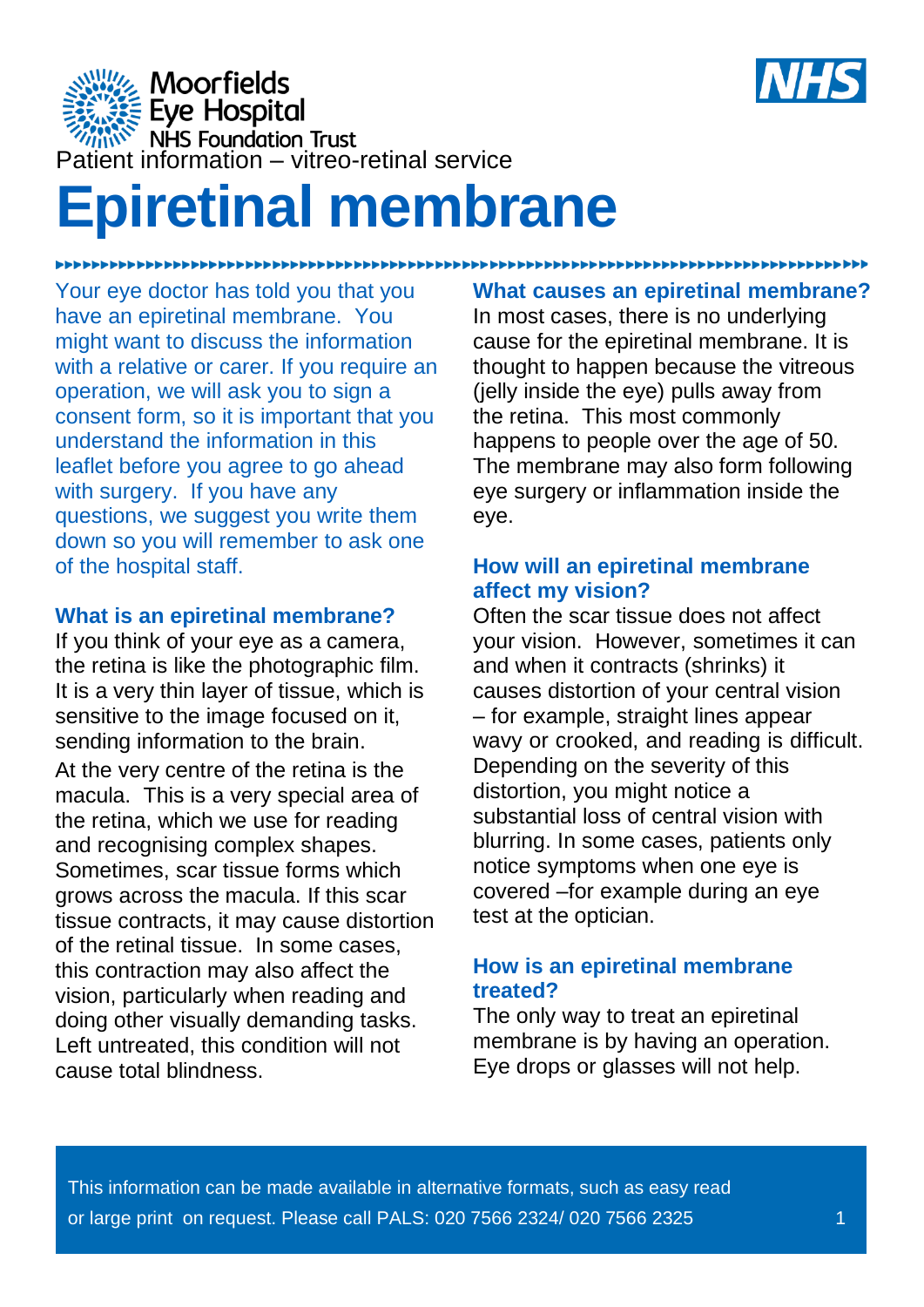

**Moorfields**  $\frac{1}{2}$ <br>  $\frac{1}{2}$   $\frac{1}{2}$   $\frac{1}{2}$   $\frac{1}{2}$   $\frac{1}{2}$   $\frac{1}{2}$   $\frac{1}{2}$   $\frac{1}{2}$   $\frac{1}{2}$   $\frac{1}{2}$   $\frac{1}{2}$   $\frac{1}{2}$   $\frac{1}{2}$   $\frac{1}{2}$   $\frac{1}{2}$   $\frac{1}{2}$   $\frac{1}{2}$   $\frac{1}{2}$   $\frac{1}{2}$   $\frac{1}{2}$   $\frac{1}{2}$ 

# **Epiretinal membrane**

Your eye doctor has told you that you have an epiretinal membrane. You might want to discuss the information with a relative or carer. If you require an operation, we will ask you to sign a consent form, so it is important that you understand the information in this leaflet before you agree to go ahead with surgery. If you have any questions, we suggest you write them down so you will remember to ask one of the hospital staff.

### **What is an epiretinal membrane?**

If you think of your eye as a camera, the retina is like the photographic film. It is a very thin layer of tissue, which is sensitive to the image focused on it, sending information to the brain. At the very centre of the retina is the macula. This is a very special area of the retina, which we use for reading and recognising complex shapes. Sometimes, scar tissue forms which grows across the macula. If this scar tissue contracts, it may cause distortion of the retinal tissue. In some cases, this contraction may also affect the vision, particularly when reading and doing other visually demanding tasks. Left untreated, this condition will not cause total blindness.

# **What causes an epiretinal membrane?**

In most cases, there is no underlying cause for the epiretinal membrane. It is thought to happen because the vitreous (jelly inside the eye) pulls away from the retina. This most commonly happens to people over the age of 50. The membrane may also form following eye surgery or inflammation inside the eye.

### **How will an epiretinal membrane affect my vision?**

Often the scar tissue does not affect your vision. However, sometimes it can and when it contracts (shrinks) it causes distortion of your central vision – for example, straight lines appear wavy or crooked, and reading is difficult. Depending on the severity of this distortion, you might notice a substantial loss of central vision with blurring. In some cases, patients only notice symptoms when one eye is covered –for example during an eye test at the optician.

## **How is an epiretinal membrane treated?**

The only way to treat an epiretinal membrane is by having an operation. Eye drops or glasses will not help.

This information can be made available in alternative formats, such as easy read or large print on request. Please call PALS: 020 7566 2324/ 020 7566 2325 1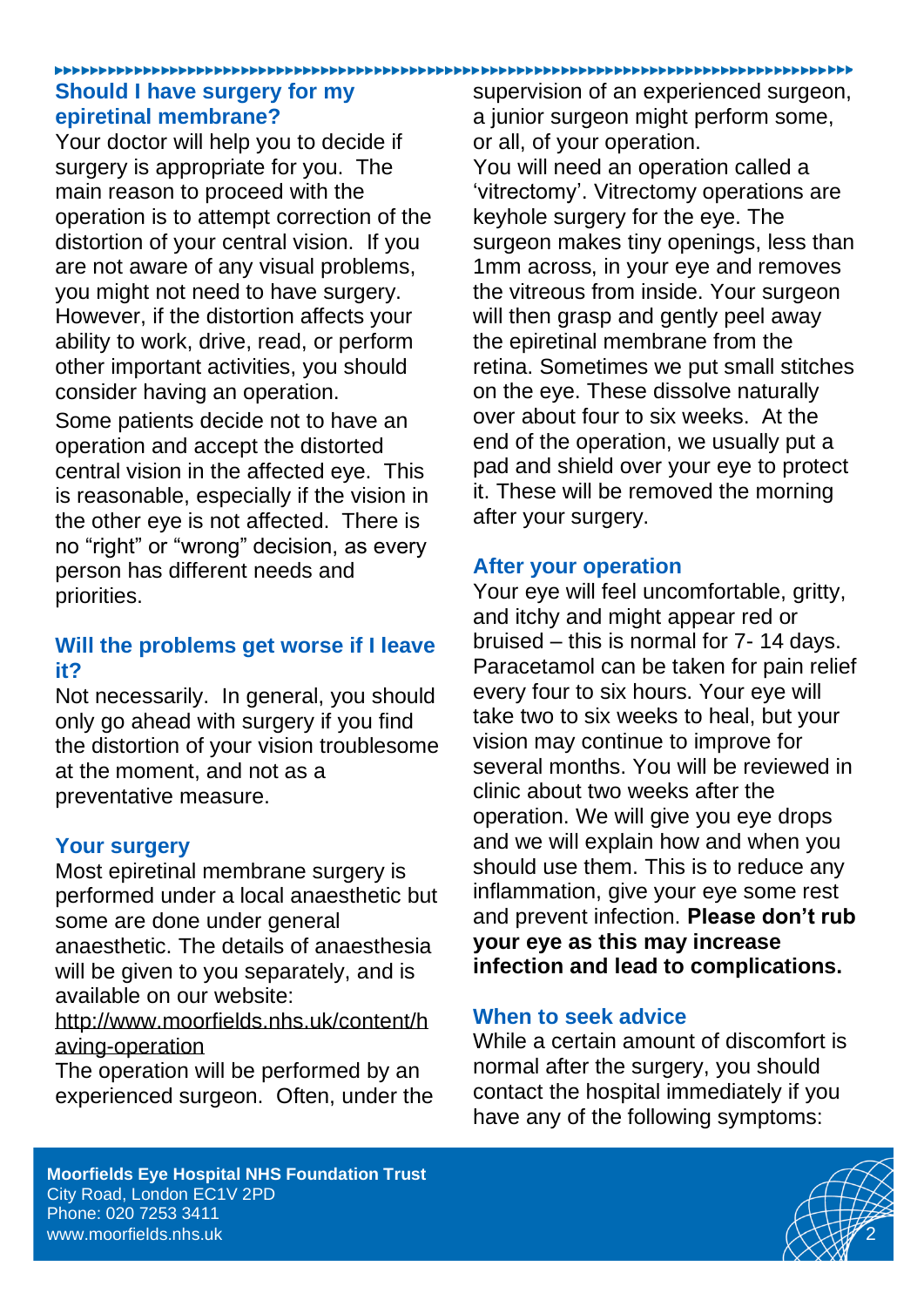### **Should I have surgery for my epiretinal membrane?**

Your doctor will help you to decide if surgery is appropriate for you. The main reason to proceed with the operation is to attempt correction of the distortion of your central vision. If you are not aware of any visual problems, you might not need to have surgery. However, if the distortion affects your ability to work, drive, read, or perform other important activities, you should consider having an operation.

Some patients decide not to have an operation and accept the distorted central vision in the affected eye. This is reasonable, especially if the vision in the other eye is not affected. There is no "right" or "wrong" decision, as every person has different needs and priorities.

## **Will the problems get worse if I leave it?**

Not necessarily. In general, you should only go ahead with surgery if you find the distortion of your vision troublesome at the moment, and not as a preventative measure.

### **Your surgery**

Most epiretinal membrane surgery is performed under a local anaesthetic but some are done under general anaesthetic. The details of anaesthesia will be given to you separately, and is available on our website:

[http://www.moorfields.nhs.uk/content/h](http://www.moorfields.nhs.uk/content/having-operation) [aving-operation](http://www.moorfields.nhs.uk/content/having-operation)

The operation will be performed by an experienced surgeon. Often, under the supervision of an experienced surgeon, a junior surgeon might perform some, or all, of your operation. You will need an operation called a 'vitrectomy'. Vitrectomy operations are keyhole surgery for the eye. The surgeon makes tiny openings, less than 1mm across, in your eye and removes the vitreous from inside. Your surgeon will then grasp and gently peel away the epiretinal membrane from the retina. Sometimes we put small stitches on the eye. These dissolve naturally over about four to six weeks. At the end of the operation, we usually put a pad and shield over your eye to protect it. These will be removed the morning after your surgery.

### **After your operation**

Your eye will feel uncomfortable, gritty, and itchy and might appear red or bruised – this is normal for 7- 14 days. Paracetamol can be taken for pain relief every four to six hours. Your eye will take two to six weeks to heal, but your vision may continue to improve for several months. You will be reviewed in clinic about two weeks after the operation. We will give you eye drops and we will explain how and when you should use them. This is to reduce any inflammation, give your eye some rest and prevent infection. **Please don't rub your eye as this may increase infection and lead to complications.**

### **When to seek advice**

While a certain amount of discomfort is normal after the surgery, you should contact the hospital immediately if you have any of the following symptoms:

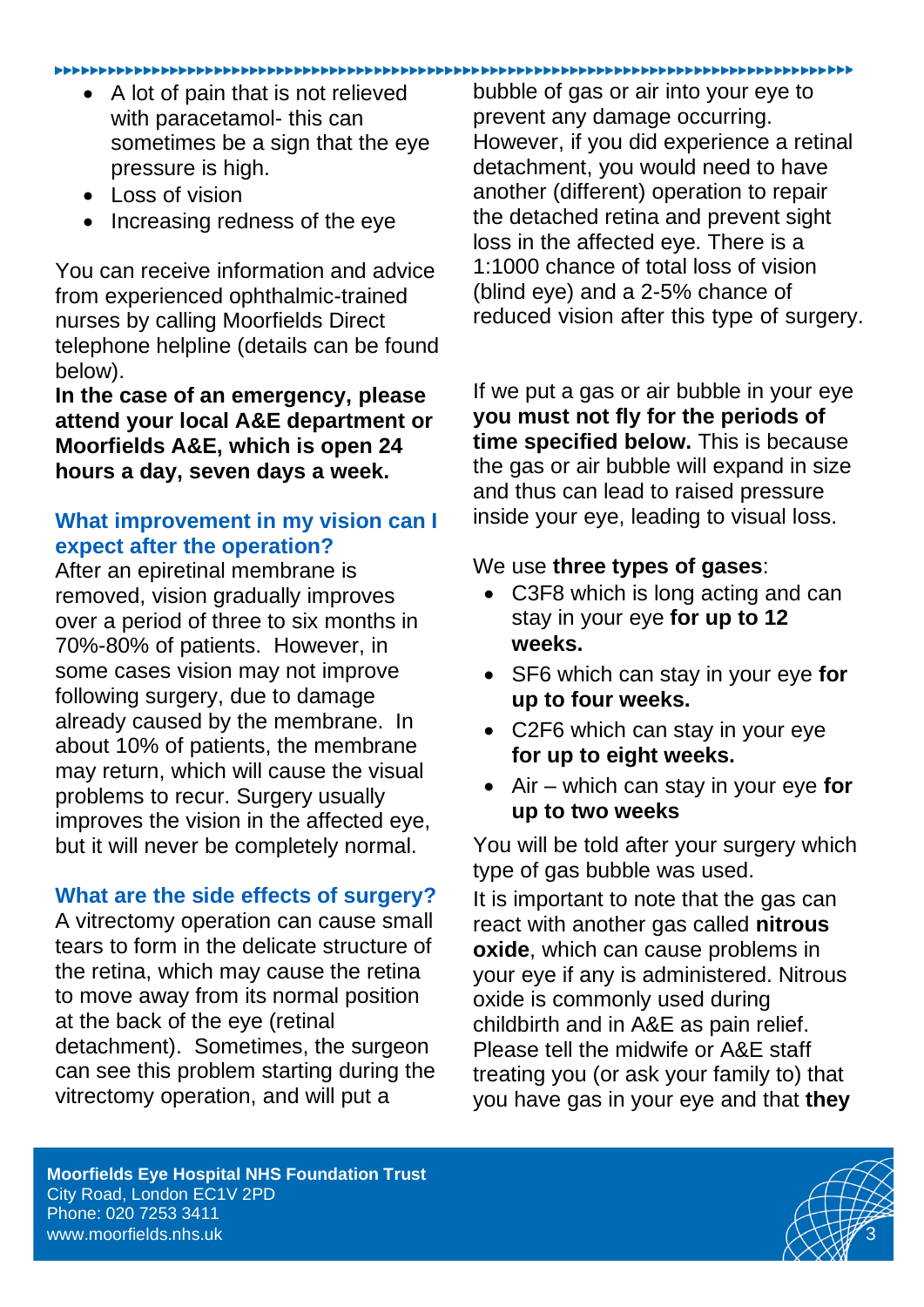#### 

- A lot of pain that is not relieved with paracetamol- this can sometimes be a sign that the eye pressure is high.
- Loss of vision
- Increasing redness of the eye

You can receive information and advice from experienced ophthalmic-trained nurses by calling Moorfields Direct telephone helpline (details can be found below).

**In the case of an emergency, please attend your local A&E department or Moorfields A&E, which is open 24 hours a day, seven days a week.** 

# **What improvement in my vision can I expect after the operation?**

After an epiretinal membrane is removed, vision gradually improves over a period of three to six months in 70%-80% of patients. However, in some cases vision may not improve following surgery, due to damage already caused by the membrane. In about 10% of patients, the membrane may return, which will cause the visual problems to recur. Surgery usually improves the vision in the affected eye, but it will never be completely normal.

### **What are the side effects of surgery?**

A vitrectomy operation can cause small tears to form in the delicate structure of the retina, which may cause the retina to move away from its normal position at the back of the eye (retinal detachment). Sometimes, the surgeon can see this problem starting during the vitrectomy operation, and will put a

bubble of gas or air into your eye to prevent any damage occurring. However, if you did experience a retinal detachment, you would need to have another (different) operation to repair the detached retina and prevent sight loss in the affected eye. There is a 1:1000 chance of total loss of vision (blind eye) and a 2-5% chance of reduced vision after this type of surgery.

If we put a gas or air bubble in your eye **you must not fly for the periods of time specified below.** This is because the gas or air bubble will expand in size and thus can lead to raised pressure inside your eye, leading to visual loss.

### We use **three types of gases**:

- C3F8 which is long acting and can stay in your eye **for up to 12 weeks.**
- SF6 which can stay in your eye **for up to four weeks.**
- C2F6 which can stay in your eye **for up to eight weeks.**
- Air which can stay in your eye **for up to two weeks**

You will be told after your surgery which type of gas bubble was used.

It is important to note that the gas can react with another gas called **nitrous oxide**, which can cause problems in your eye if any is administered. Nitrous oxide is commonly used during childbirth and in A&E as pain relief. Please tell the midwife or A&E staff treating you (or ask your family to) that you have gas in your eye and that **they**